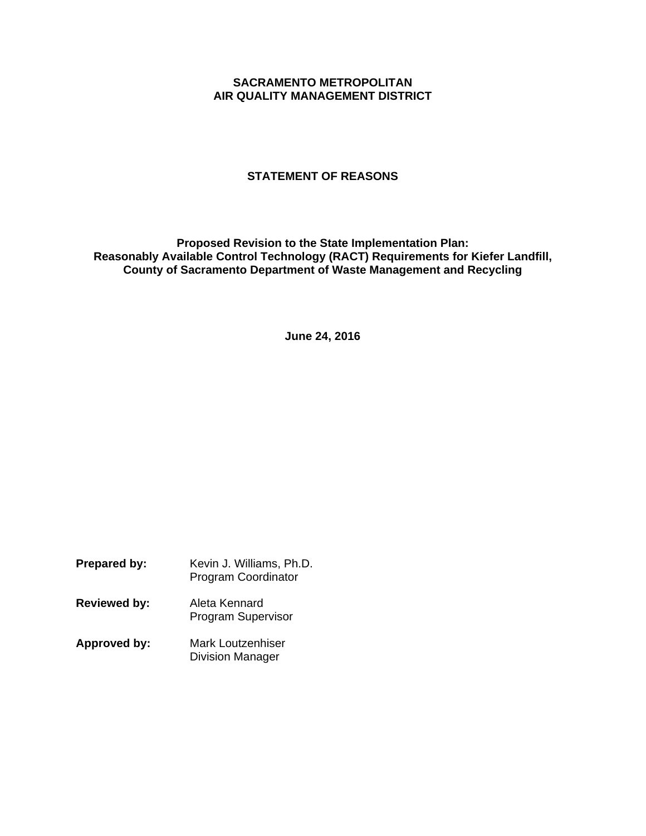## **SACRAMENTO METROPOLITAN AIR QUALITY MANAGEMENT DISTRICT**

## **STATEMENT OF REASONS**

**Proposed Revision to the State Implementation Plan: Reasonably Available Control Technology (RACT) Requirements for Kiefer Landfill, County of Sacramento Department of Waste Management and Recycling** 

**June 24, 2016** 

| <b>Prepared by:</b> | Kevin J. Williams, Ph.D.<br><b>Program Coordinator</b> |
|---------------------|--------------------------------------------------------|
| <b>Reviewed by:</b> | Aleta Kennard<br><b>Program Supervisor</b>             |
| Approved by:        | Mark Loutzenhiser<br><b>Division Manager</b>           |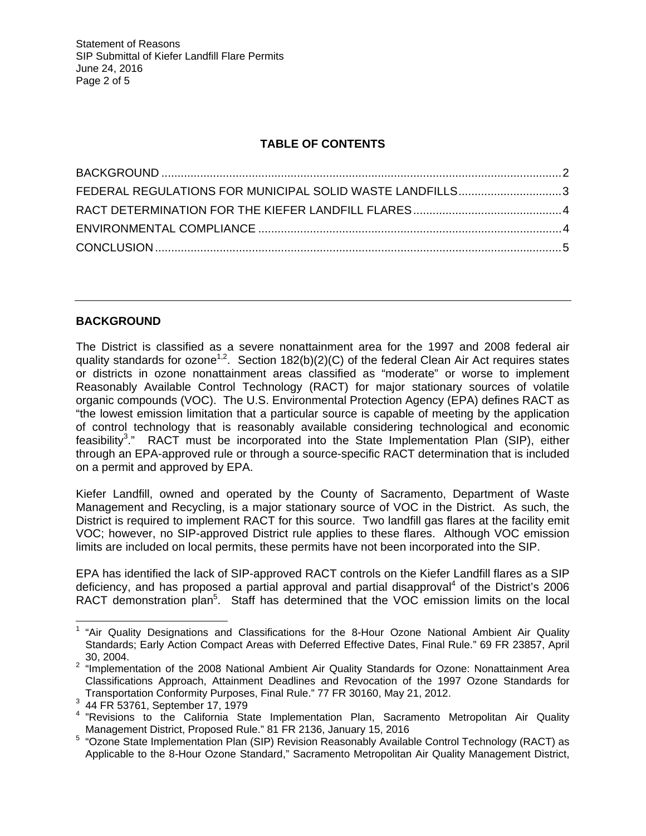# **TABLE OF CONTENTS**

| FEDERAL REGULATIONS FOR MUNICIPAL SOLID WASTE LANDFILLS3 |  |
|----------------------------------------------------------|--|
|                                                          |  |
|                                                          |  |
|                                                          |  |

# **BACKGROUND**

The District is classified as a severe nonattainment area for the 1997 and 2008 federal air quality standards for ozone<sup>1,2</sup>. Section 182(b)(2)(C) of the federal Clean Air Act requires states or districts in ozone nonattainment areas classified as "moderate" or worse to implement Reasonably Available Control Technology (RACT) for major stationary sources of volatile organic compounds (VOC). The U.S. Environmental Protection Agency (EPA) defines RACT as "the lowest emission limitation that a particular source is capable of meeting by the application of control technology that is reasonably available considering technological and economic feasibility<sup>3</sup>." RACT must be incorporated into the State Implementation Plan (SIP), either through an EPA-approved rule or through a source-specific RACT determination that is included on a permit and approved by EPA.

Kiefer Landfill, owned and operated by the County of Sacramento, Department of Waste Management and Recycling, is a major stationary source of VOC in the District. As such, the District is required to implement RACT for this source. Two landfill gas flares at the facility emit VOC; however, no SIP-approved District rule applies to these flares. Although VOC emission limits are included on local permits, these permits have not been incorporated into the SIP.

EPA has identified the lack of SIP-approved RACT controls on the Kiefer Landfill flares as a SIP deficiency, and has proposed a partial approval and partial disapproval<sup>4</sup> of the District's 2006 RACT demonstration plan<sup>5</sup>. Staff has determined that the VOC emission limits on the local

**EXALLEM**<br><sup>1</sup> "Air Quality Designations and Classifications for the 8-Hour Ozone National Ambient Air Quality Standards; Early Action Compact Areas with Deferred Effective Dates, Final Rule." 69 FR 23857, April 30, 2004.

<sup>&</sup>lt;sup>2</sup> "Implementation of the 2008 National Ambient Air Quality Standards for Ozone: Nonattainment Area Classifications Approach, Attainment Deadlines and Revocation of the 1997 Ozone Standards for Transportation Conformity Purposes, Final Rule." 77 FR 30160, May 21, 2012. 3

 <sup>44</sup> FR 53761, September 17, 1979

<sup>&</sup>lt;sup>4</sup> "Revisions to the California State Implementation Plan, Sacramento Metropolitan Air Quality

Management District, Proposed Rule." 81 FR 2136, January 15, 2016<br><sup>5</sup> "Ozone State Implementation Plan (SIP) Revision Reasonably Available Control Technology (RACT) as Applicable to the 8-Hour Ozone Standard," Sacramento Metropolitan Air Quality Management District,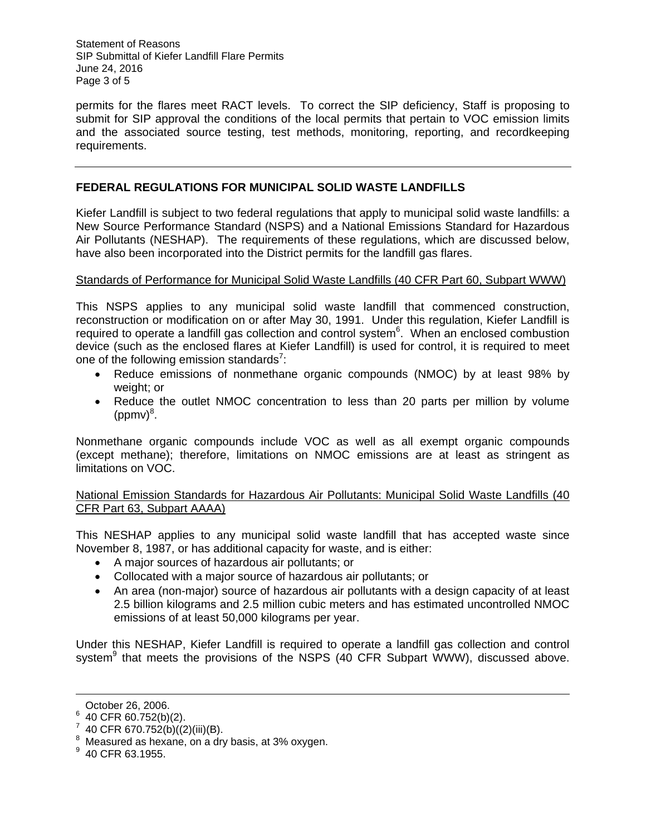Statement of Reasons SIP Submittal of Kiefer Landfill Flare Permits June 24, 2016 Page 3 of 5

permits for the flares meet RACT levels. To correct the SIP deficiency, Staff is proposing to submit for SIP approval the conditions of the local permits that pertain to VOC emission limits and the associated source testing, test methods, monitoring, reporting, and recordkeeping requirements.

## **FEDERAL REGULATIONS FOR MUNICIPAL SOLID WASTE LANDFILLS**

Kiefer Landfill is subject to two federal regulations that apply to municipal solid waste landfills: a New Source Performance Standard (NSPS) and a National Emissions Standard for Hazardous Air Pollutants (NESHAP). The requirements of these regulations, which are discussed below, have also been incorporated into the District permits for the landfill gas flares.

#### Standards of Performance for Municipal Solid Waste Landfills (40 CFR Part 60, Subpart WWW)

This NSPS applies to any municipal solid waste landfill that commenced construction, reconstruction or modification on or after May 30, 1991. Under this regulation, Kiefer Landfill is required to operate a landfill gas collection and control system<sup>6</sup>. When an enclosed combustion device (such as the enclosed flares at Kiefer Landfill) is used for control, it is required to meet one of the following emission standards<sup>7</sup>:

- Reduce emissions of nonmethane organic compounds (NMOC) by at least 98% by weight; or
- Reduce the outlet NMOC concentration to less than 20 parts per million by volume  $(ppmv)^8$ .

Nonmethane organic compounds include VOC as well as all exempt organic compounds (except methane); therefore, limitations on NMOC emissions are at least as stringent as limitations on VOC.

National Emission Standards for Hazardous Air Pollutants: Municipal Solid Waste Landfills (40 CFR Part 63, Subpart AAAA)

This NESHAP applies to any municipal solid waste landfill that has accepted waste since November 8, 1987, or has additional capacity for waste, and is either:

- A major sources of hazardous air pollutants; or
- Collocated with a major source of hazardous air pollutants; or
- An area (non-major) source of hazardous air pollutants with a design capacity of at least 2.5 billion kilograms and 2.5 million cubic meters and has estimated uncontrolled NMOC emissions of at least 50,000 kilograms per year.

Under this NESHAP, Kiefer Landfill is required to operate a landfill gas collection and control system<sup>9</sup> that meets the provisions of the NSPS (40 CFR Subpart WWW), discussed above.

-

October 26, 2006.

 $6$  40 CFR 60.752(b)(2).

 $7\,$  40 CFR 670.752(b)((2)(iii)(B).

 $8\,$  Measured as hexane, on a dry basis, at 3% oxygen.

 $9$  40 CFR 63.1955.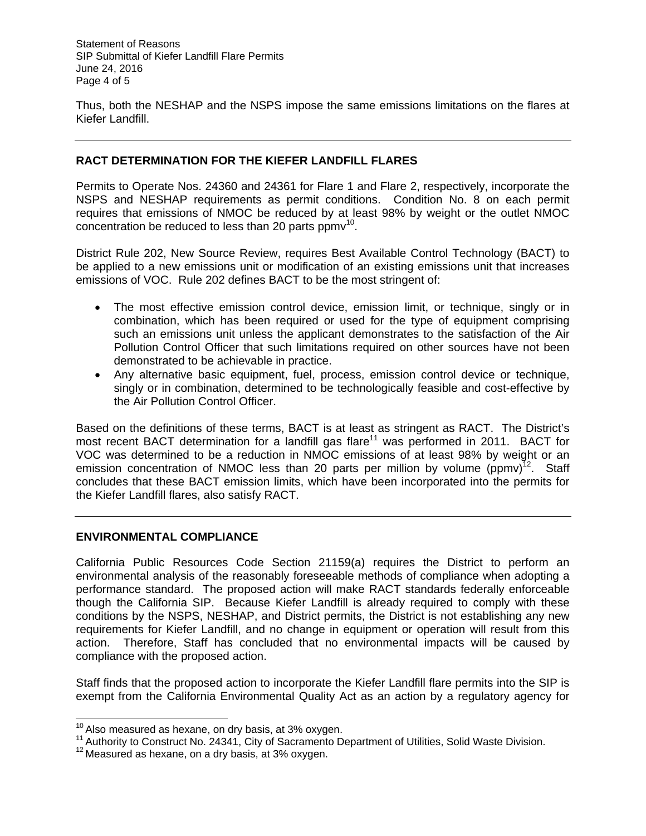Statement of Reasons SIP Submittal of Kiefer Landfill Flare Permits June 24, 2016 Page 4 of 5

Thus, both the NESHAP and the NSPS impose the same emissions limitations on the flares at Kiefer Landfill.

### **RACT DETERMINATION FOR THE KIEFER LANDFILL FLARES**

Permits to Operate Nos. 24360 and 24361 for Flare 1 and Flare 2, respectively, incorporate the NSPS and NESHAP requirements as permit conditions. Condition No. 8 on each permit requires that emissions of NMOC be reduced by at least 98% by weight or the outlet NMOC concentration be reduced to less than 20 parts  $ppmv^{10}$ .

District Rule 202, New Source Review, requires Best Available Control Technology (BACT) to be applied to a new emissions unit or modification of an existing emissions unit that increases emissions of VOC. Rule 202 defines BACT to be the most stringent of:

- The most effective emission control device, emission limit, or technique, singly or in combination, which has been required or used for the type of equipment comprising such an emissions unit unless the applicant demonstrates to the satisfaction of the Air Pollution Control Officer that such limitations required on other sources have not been demonstrated to be achievable in practice.
- Any alternative basic equipment, fuel, process, emission control device or technique, singly or in combination, determined to be technologically feasible and cost-effective by the Air Pollution Control Officer.

Based on the definitions of these terms, BACT is at least as stringent as RACT. The District's most recent BACT determination for a landfill gas flare<sup>11</sup> was performed in 2011. BACT for VOC was determined to be a reduction in NMOC emissions of at least 98% by weight or an emission concentration of NMOC less than 20 parts per million by volume  $(ppmv)^{12}$ . Staff concludes that these BACT emission limits, which have been incorporated into the permits for the Kiefer Landfill flares, also satisfy RACT.

#### **ENVIRONMENTAL COMPLIANCE**

California Public Resources Code Section 21159(a) requires the District to perform an environmental analysis of the reasonably foreseeable methods of compliance when adopting a performance standard. The proposed action will make RACT standards federally enforceable though the California SIP. Because Kiefer Landfill is already required to comply with these conditions by the NSPS, NESHAP, and District permits, the District is not establishing any new requirements for Kiefer Landfill, and no change in equipment or operation will result from this action. Therefore, Staff has concluded that no environmental impacts will be caused by compliance with the proposed action.

Staff finds that the proposed action to incorporate the Kiefer Landfill flare permits into the SIP is exempt from the California Environmental Quality Act as an action by a regulatory agency for

 $10$  Also measured as hexane, on dry basis, at 3% oxygen.

 $11$  Authority to Construct No. 24341, City of Sacramento Department of Utilities, Solid Waste Division.

<sup>&</sup>lt;sup>12</sup> Measured as hexane, on a dry basis, at 3% oxygen.